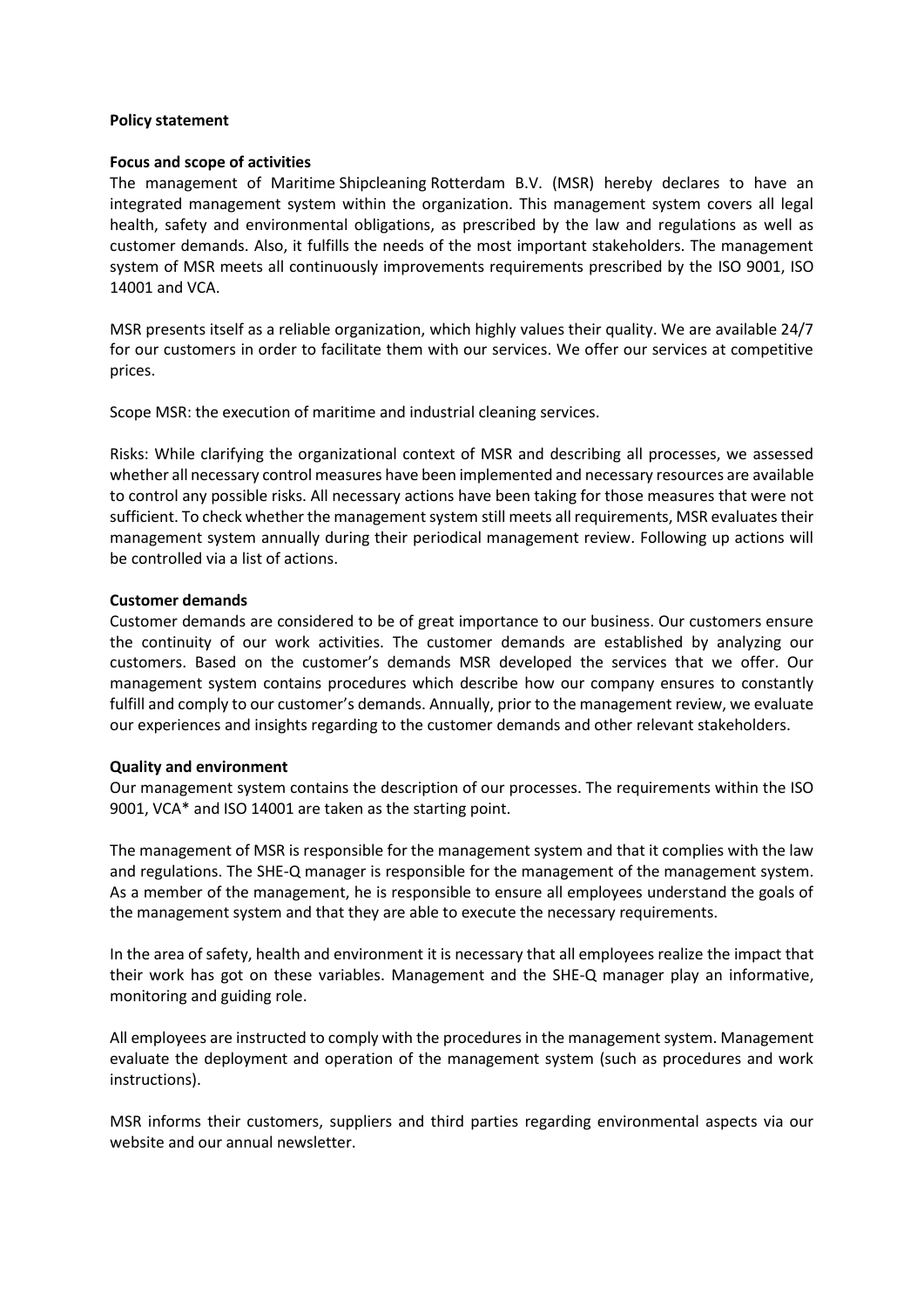# **Policy statement**

## **Focus and scope of activities**

The management of Maritime Shipcleaning Rotterdam B.V. (MSR) hereby declares to have an integrated management system within the organization. This management system covers all legal health, safety and environmental obligations, as prescribed by the law and regulations as well as customer demands. Also, it fulfills the needs of the most important stakeholders. The management system of MSR meets all continuously improvements requirements prescribed by the ISO 9001, ISO 14001 and VCA.

MSR presents itself as a reliable organization, which highly values their quality. We are available 24/7 for our customers in order to facilitate them with our services. We offer our services at competitive prices.

Scope MSR: the execution of maritime and industrial cleaning services.

Risks: While clarifying the organizational context of MSR and describing all processes, we assessed whether all necessary control measures have been implemented and necessary resources are available to control any possible risks. All necessary actions have been taking for those measures that were not sufficient. To check whether the management system still meets all requirements, MSR evaluates their management system annually during their periodical management review. Following up actions will be controlled via a list of actions.

# **Customer demands**

Customer demands are considered to be of great importance to our business. Our customers ensure the continuity of our work activities. The customer demands are established by analyzing our customers. Based on the customer's demands MSR developed the services that we offer. Our management system contains procedures which describe how our company ensures to constantly fulfill and comply to our customer's demands. Annually, prior to the management review, we evaluate our experiences and insights regarding to the customer demands and other relevant stakeholders.

### **Quality and environment**

Our management system contains the description of our processes. The requirements within the ISO 9001, VCA\* and ISO 14001 are taken as the starting point.

The management of MSR is responsible for the management system and that it complies with the law and regulations. The SHE-Q manager is responsible for the management of the management system. As a member of the management, he is responsible to ensure all employees understand the goals of the management system and that they are able to execute the necessary requirements.

In the area of safety, health and environment it is necessary that all employees realize the impact that their work has got on these variables. Management and the SHE-Q manager play an informative, monitoring and guiding role.

All employees are instructed to comply with the procedures in the management system. Management evaluate the deployment and operation of the management system (such as procedures and work instructions).

MSR informs their customers, suppliers and third parties regarding environmental aspects via our website and our annual newsletter.